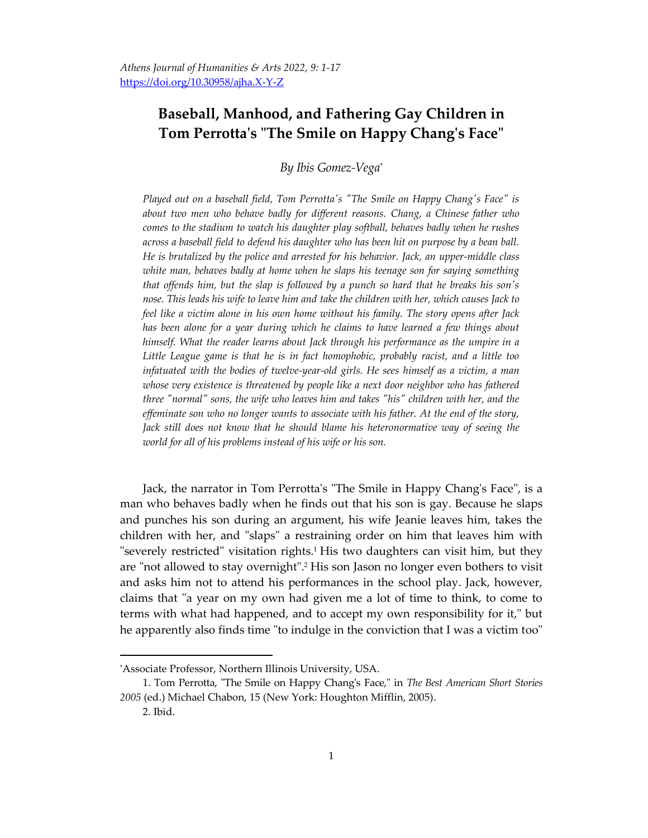## **Baseball, Manhood, and Fathering Gay Children in Tom Perrotta's "The Smile on Happy Chang's Face"**

*By Ibis Gomez-Vega\**

*Played out on a baseball field, Tom Perrotta's "The Smile on Happy Chang's Face" is about two men who behave badly for different reasons. Chang, a Chinese father who comes to the stadium to watch his daughter play softball, behaves badly when he rushes across a baseball field to defend his daughter who has been hit on purpose by a bean ball. He is brutalized by the police and arrested for his behavior. Jack, an upper-middle class white man, behaves badly at home when he slaps his teenage son for saying something that offends him, but the slap is followed by a punch so hard that he breaks his son's nose. This leads his wife to leave him and take the children with her, which causes Jack to feel like a victim alone in his own home without his family. The story opens after Jack has been alone for a year during which he claims to have learned a few things about himself. What the reader learns about Jack through his performance as the umpire in a Little League game is that he is in fact homophobic, probably racist, and a little too infatuated with the bodies of twelve-year-old girls. He sees himself as a victim, a man whose very existence is threatened by people like a next door neighbor who has fathered three "normal" sons, the wife who leaves him and takes "his" children with her, and the effeminate son who no longer wants to associate with his father. At the end of the story, Jack still does not know that he should blame his heteronormative way of seeing the world for all of his problems instead of his wife or his son.*

Jack, the narrator in Tom Perrotta's "The Smile in Happy Chang's Face", is a man who behaves badly when he finds out that his son is gay. Because he slaps and punches his son during an argument, his wife Jeanie leaves him, takes the children with her, and "slaps" a restraining order on him that leaves him with "severely restricted" visitation rights.<sup>1</sup> His two daughters can visit him, but they are "not allowed to stay overnight". <sup>2</sup> His son Jason no longer even bothers to visit and asks him not to attend his performances in the school play. Jack, however, claims that "a year on my own had given me a lot of time to think, to come to terms with what had happened, and to accept my own responsibility for it," but he apparently also finds time "to indulge in the conviction that I was a victim too"

<sup>\*</sup>Associate Professor, Northern Illinois University, USA.

<sup>1.</sup> Tom Perrotta, "The Smile on Happy Chang's Face," in *The Best American Short Stories 2005* (ed.) Michael Chabon, 15 (New York: Houghton Mifflin, 2005).

<sup>2.</sup> Ibid.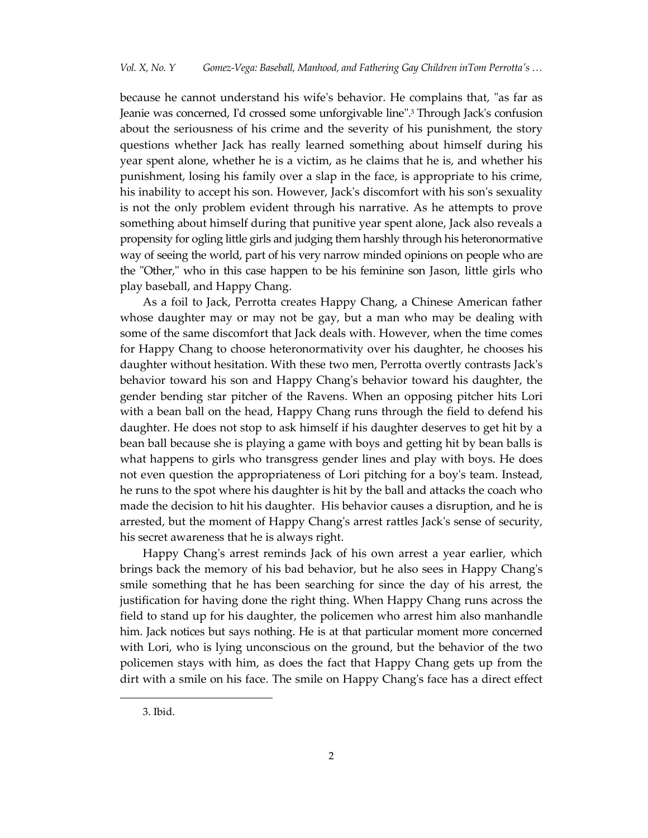because he cannot understand his wife's behavior. He complains that, "as far as Jeanie was concerned, I'd crossed some unforgivable line". <sup>3</sup> Through Jack's confusion about the seriousness of his crime and the severity of his punishment, the story questions whether Jack has really learned something about himself during his year spent alone, whether he is a victim, as he claims that he is, and whether his punishment, losing his family over a slap in the face, is appropriate to his crime, his inability to accept his son. However, Jack's discomfort with his son's sexuality is not the only problem evident through his narrative. As he attempts to prove something about himself during that punitive year spent alone, Jack also reveals a propensity for ogling little girls and judging them harshly through his heteronormative way of seeing the world, part of his very narrow minded opinions on people who are the "Other," who in this case happen to be his feminine son Jason, little girls who play baseball, and Happy Chang.

As a foil to Jack, Perrotta creates Happy Chang, a Chinese American father whose daughter may or may not be gay, but a man who may be dealing with some of the same discomfort that Jack deals with. However, when the time comes for Happy Chang to choose heteronormativity over his daughter, he chooses his daughter without hesitation. With these two men, Perrotta overtly contrasts Jack's behavior toward his son and Happy Chang's behavior toward his daughter, the gender bending star pitcher of the Ravens. When an opposing pitcher hits Lori with a bean ball on the head, Happy Chang runs through the field to defend his daughter. He does not stop to ask himself if his daughter deserves to get hit by a bean ball because she is playing a game with boys and getting hit by bean balls is what happens to girls who transgress gender lines and play with boys. He does not even question the appropriateness of Lori pitching for a boy's team. Instead, he runs to the spot where his daughter is hit by the ball and attacks the coach who made the decision to hit his daughter. His behavior causes a disruption, and he is arrested, but the moment of Happy Chang's arrest rattles Jack's sense of security, his secret awareness that he is always right.

Happy Chang's arrest reminds Jack of his own arrest a year earlier, which brings back the memory of his bad behavior, but he also sees in Happy Chang's smile something that he has been searching for since the day of his arrest, the justification for having done the right thing. When Happy Chang runs across the field to stand up for his daughter, the policemen who arrest him also manhandle him. Jack notices but says nothing. He is at that particular moment more concerned with Lori, who is lying unconscious on the ground, but the behavior of the two policemen stays with him, as does the fact that Happy Chang gets up from the dirt with a smile on his face. The smile on Happy Chang's face has a direct effect

<sup>3.</sup> Ibid.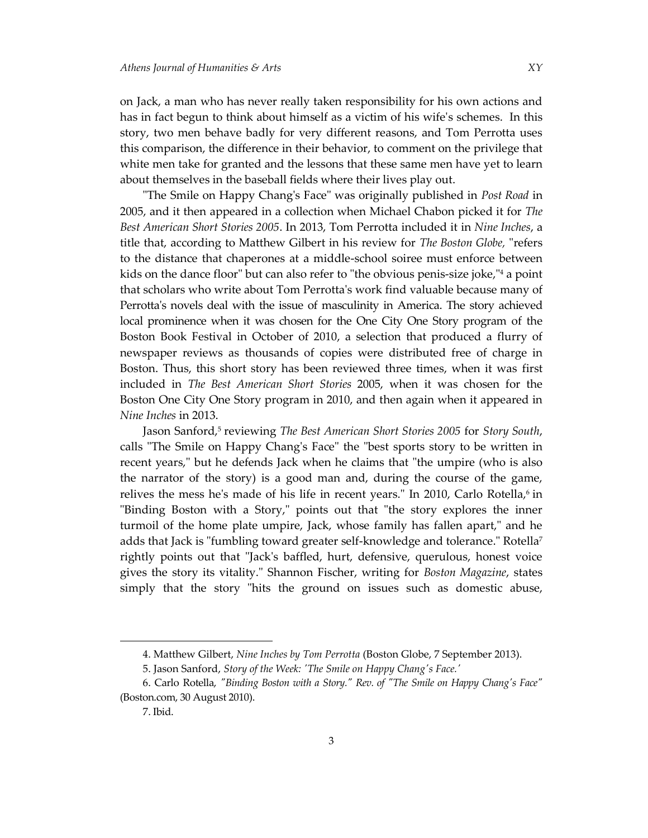on Jack, a man who has never really taken responsibility for his own actions and has in fact begun to think about himself as a victim of his wife's schemes. In this story, two men behave badly for very different reasons, and Tom Perrotta uses this comparison, the difference in their behavior, to comment on the privilege that white men take for granted and the lessons that these same men have yet to learn about themselves in the baseball fields where their lives play out.

"The Smile on Happy Chang's Face" was originally published in *Post Road* in 2005, and it then appeared in a collection when Michael Chabon picked it for *The Best American Short Stories 2005*. In 2013, Tom Perrotta included it in *Nine Inches*, a title that, according to Matthew Gilbert in his review for *The Boston Globe,* "refers to the distance that chaperones at a middle-school soiree must enforce between kids on the dance floor" but can also refer to "the obvious penis-size joke," <sup>4</sup> a point that scholars who write about Tom Perrotta's work find valuable because many of Perrotta's novels deal with the issue of masculinity in America. The story achieved local prominence when it was chosen for the One City One Story program of the Boston Book Festival in October of 2010, a selection that produced a flurry of newspaper reviews as thousands of copies were distributed free of charge in Boston. Thus, this short story has been reviewed three times, when it was first included in *The Best American Short Stories* 2005, when it was chosen for the Boston One City One Story program in 2010, and then again when it appeared in *Nine Inches* in 2013.

Jason Sanford,<sup>5</sup> reviewing *The Best American Short Stories 2005* for *Story South*, calls "The Smile on Happy Chang's Face" the "best sports story to be written in recent years," but he defends Jack when he claims that "the umpire (who is also the narrator of the story) is a good man and, during the course of the game, relives the mess he's made of his life in recent years." In 2010, Carlo Rotella, $\circ$  in "Binding Boston with a Story," points out that "the story explores the inner turmoil of the home plate umpire, Jack, whose family has fallen apart," and he adds that Jack is "fumbling toward greater self-knowledge and tolerance." Rotella<sup>7</sup> rightly points out that "Jack's baffled, hurt, defensive, querulous, honest voice gives the story its vitality." Shannon Fischer, writing for *Boston Magazine*, states simply that the story "hits the ground on issues such as domestic abuse,

<sup>4.</sup> Matthew Gilbert, *Nine Inches by Tom Perrotta* (Boston Globe, 7 September 2013).

<sup>5.</sup> Jason Sanford, *Story of the Week: 'The Smile on Happy Chang's Face.'*

<sup>6.</sup> Carlo Rotella, *"Binding Boston with a Story." Rev. of "The Smile on Happy Chang's Face"* (Boston.com, 30 August 2010).

<sup>7.</sup> Ibid.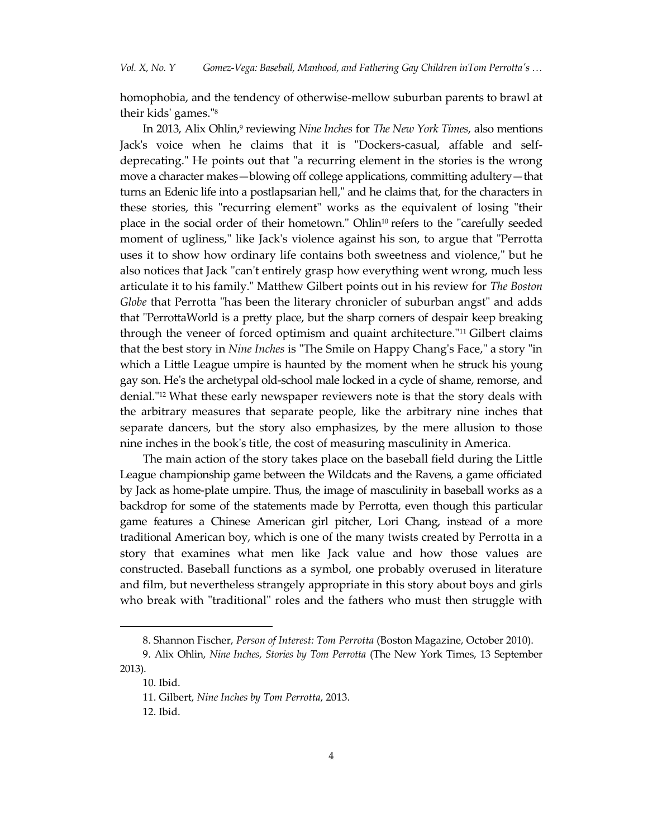homophobia, and the tendency of otherwise-mellow suburban parents to brawl at their kids' games." 8

In 2013, Alix Ohlin,<sup>9</sup> reviewing *Nine Inches* for *The New York Times*, also mentions Jack's voice when he claims that it is "Dockers-casual, affable and selfdeprecating." He points out that "a recurring element in the stories is the wrong move a character makes—blowing off college applications, committing adultery—that turns an Edenic life into a postlapsarian hell," and he claims that, for the characters in these stories, this "recurring element" works as the equivalent of losing "their place in the social order of their hometown." Ohlin<sup>10</sup> refers to the "carefully seeded moment of ugliness," like Jack's violence against his son, to argue that "Perrotta uses it to show how ordinary life contains both sweetness and violence," but he also notices that Jack "can't entirely grasp how everything went wrong, much less articulate it to his family." Matthew Gilbert points out in his review for *The Boston Globe* that Perrotta "has been the literary chronicler of suburban angst" and adds that "PerrottaWorld is a pretty place, but the sharp corners of despair keep breaking through the veneer of forced optimism and quaint architecture."<sup>11</sup> Gilbert claims that the best story in *Nine Inches* is "The Smile on Happy Chang's Face," a story "in which a Little League umpire is haunted by the moment when he struck his young gay son. He's the archetypal old-school male locked in a cycle of shame, remorse, and denial."<sup>12</sup> What these early newspaper reviewers note is that the story deals with the arbitrary measures that separate people, like the arbitrary nine inches that separate dancers, but the story also emphasizes, by the mere allusion to those nine inches in the book's title, the cost of measuring masculinity in America.

The main action of the story takes place on the baseball field during the Little League championship game between the Wildcats and the Ravens, a game officiated by Jack as home-plate umpire. Thus, the image of masculinity in baseball works as a backdrop for some of the statements made by Perrotta, even though this particular game features a Chinese American girl pitcher, Lori Chang, instead of a more traditional American boy, which is one of the many twists created by Perrotta in a story that examines what men like Jack value and how those values are constructed. Baseball functions as a symbol, one probably overused in literature and film, but nevertheless strangely appropriate in this story about boys and girls who break with "traditional" roles and the fathers who must then struggle with

<sup>8.</sup> Shannon Fischer, *Person of Interest: Tom Perrotta* (Boston Magazine, October 2010).

<sup>9.</sup> Alix Ohlin, *Nine Inches, Stories by Tom Perrotta* (The New York Times, 13 September 2013).

<sup>10.</sup> Ibid.

<sup>11.</sup> Gilbert, *Nine Inches by Tom Perrotta*, 2013.

<sup>12.</sup> Ibid.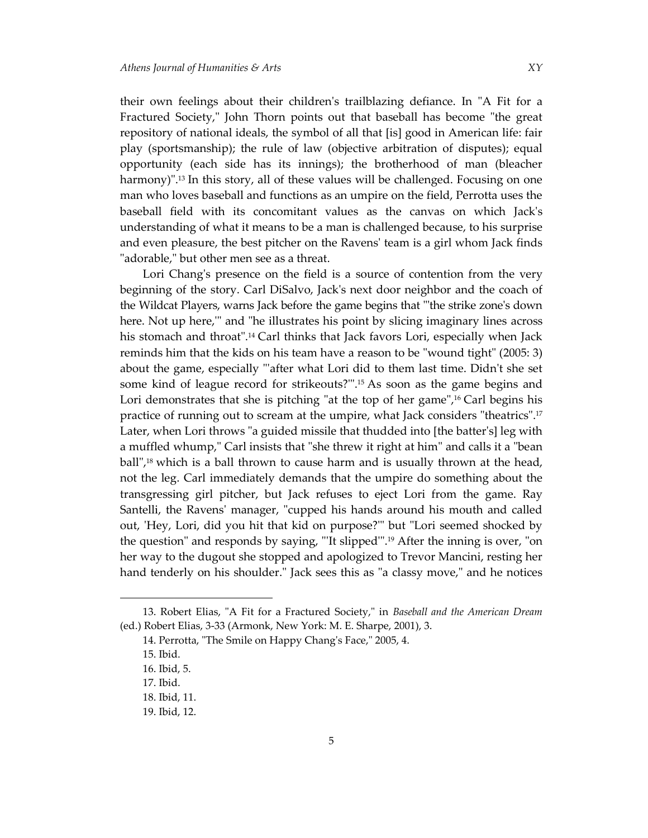their own feelings about their children's trailblazing defiance. In "A Fit for a Fractured Society," John Thorn points out that baseball has become "the great repository of national ideals, the symbol of all that [is] good in American life: fair play (sportsmanship); the rule of law (objective arbitration of disputes); equal opportunity (each side has its innings); the brotherhood of man (bleacher harmony)". <sup>13</sup> In this story, all of these values will be challenged. Focusing on one man who loves baseball and functions as an umpire on the field, Perrotta uses the baseball field with its concomitant values as the canvas on which Jack's understanding of what it means to be a man is challenged because, to his surprise and even pleasure, the best pitcher on the Ravens' team is a girl whom Jack finds "adorable," but other men see as a threat.

Lori Chang's presence on the field is a source of contention from the very beginning of the story. Carl DiSalvo, Jack's next door neighbor and the coach of the Wildcat Players, warns Jack before the game begins that "'the strike zone's down here. Not up here,'" and "he illustrates his point by slicing imaginary lines across his stomach and throat".<sup>14</sup> Carl thinks that Jack favors Lori, especially when Jack reminds him that the kids on his team have a reason to be "wound tight" (2005: 3) about the game, especially "'after what Lori did to them last time. Didn't she set some kind of league record for strikeouts?'". <sup>15</sup> As soon as the game begins and Lori demonstrates that she is pitching "at the top of her game",<sup>16</sup> Carl begins his practice of running out to scream at the umpire, what Jack considers "theatrics". 17 Later, when Lori throws "a guided missile that thudded into [the batter's] leg with a muffled whump," Carl insists that "she threw it right at him" and calls it a "bean ball", <sup>18</sup> which is a ball thrown to cause harm and is usually thrown at the head, not the leg. Carl immediately demands that the umpire do something about the transgressing girl pitcher, but Jack refuses to eject Lori from the game. Ray Santelli, the Ravens' manager, "cupped his hands around his mouth and called out, 'Hey, Lori, did you hit that kid on purpose?'" but "Lori seemed shocked by the question" and responds by saying, "'It slipped'". <sup>19</sup> After the inning is over, "on her way to the dugout she stopped and apologized to Trevor Mancini, resting her hand tenderly on his shoulder." Jack sees this as "a classy move," and he notices

<sup>13.</sup> Robert Elias, "A Fit for a Fractured Society," in *Baseball and the American Dream*  (ed.) Robert Elias, 3-33 (Armonk, New York: M. E. Sharpe, 2001), 3.

<sup>14.</sup> Perrotta, "The Smile on Happy Chang's Face," 2005, 4.

<sup>15.</sup> Ibid.

<sup>16.</sup> Ibid, 5.

<sup>17.</sup> Ibid.

<sup>18.</sup> Ibid, 11.

<sup>19.</sup> Ibid, 12.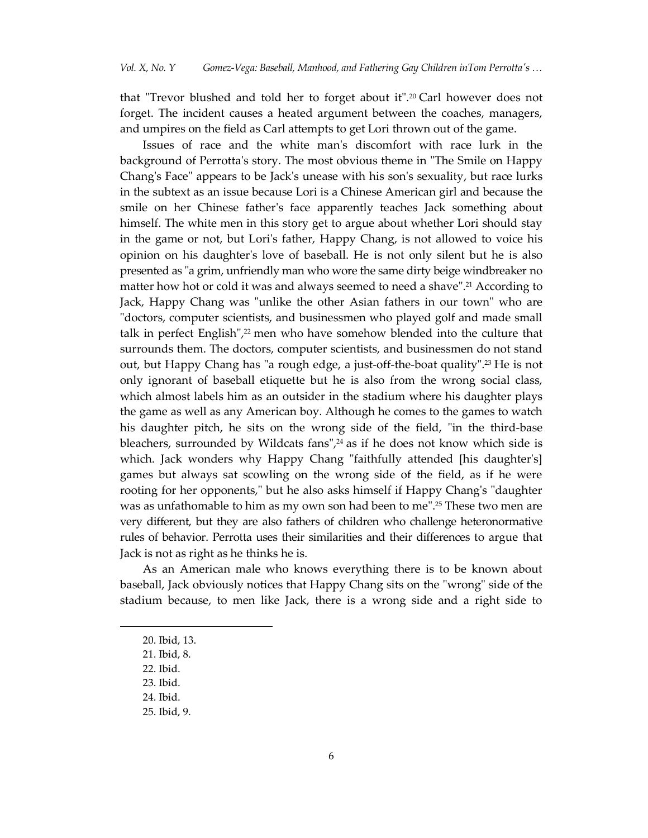that "Trevor blushed and told her to forget about it".<sup>20</sup> Carl however does not forget. The incident causes a heated argument between the coaches, managers, and umpires on the field as Carl attempts to get Lori thrown out of the game.

Issues of race and the white man's discomfort with race lurk in the background of Perrotta's story. The most obvious theme in "The Smile on Happy Chang's Face" appears to be Jack's unease with his son's sexuality, but race lurks in the subtext as an issue because Lori is a Chinese American girl and because the smile on her Chinese father's face apparently teaches Jack something about himself. The white men in this story get to argue about whether Lori should stay in the game or not, but Lori's father, Happy Chang, is not allowed to voice his opinion on his daughter's love of baseball. He is not only silent but he is also presented as "a grim, unfriendly man who wore the same dirty beige windbreaker no matter how hot or cold it was and always seemed to need a shave". <sup>21</sup> According to Jack, Happy Chang was "unlike the other Asian fathers in our town" who are "doctors, computer scientists, and businessmen who played golf and made small talk in perfect English", <sup>22</sup> men who have somehow blended into the culture that surrounds them. The doctors, computer scientists, and businessmen do not stand out, but Happy Chang has "a rough edge, a just-off-the-boat quality". <sup>23</sup> He is not only ignorant of baseball etiquette but he is also from the wrong social class, which almost labels him as an outsider in the stadium where his daughter plays the game as well as any American boy. Although he comes to the games to watch his daughter pitch, he sits on the wrong side of the field, "in the third-base bleachers, surrounded by Wildcats fans", <sup>24</sup> as if he does not know which side is which. Jack wonders why Happy Chang "faithfully attended [his daughter's] games but always sat scowling on the wrong side of the field, as if he were rooting for her opponents," but he also asks himself if Happy Chang's "daughter was as unfathomable to him as my own son had been to me". <sup>25</sup> These two men are very different, but they are also fathers of children who challenge heteronormative rules of behavior. Perrotta uses their similarities and their differences to argue that Jack is not as right as he thinks he is.

As an American male who knows everything there is to be known about baseball, Jack obviously notices that Happy Chang sits on the "wrong" side of the stadium because, to men like Jack, there is a wrong side and a right side to

<sup>20.</sup> Ibid, 13.

<sup>21.</sup> Ibid, 8.

<sup>22.</sup> Ibid.

<sup>23.</sup> Ibid.

<sup>24.</sup> Ibid.

<sup>25.</sup> Ibid, 9.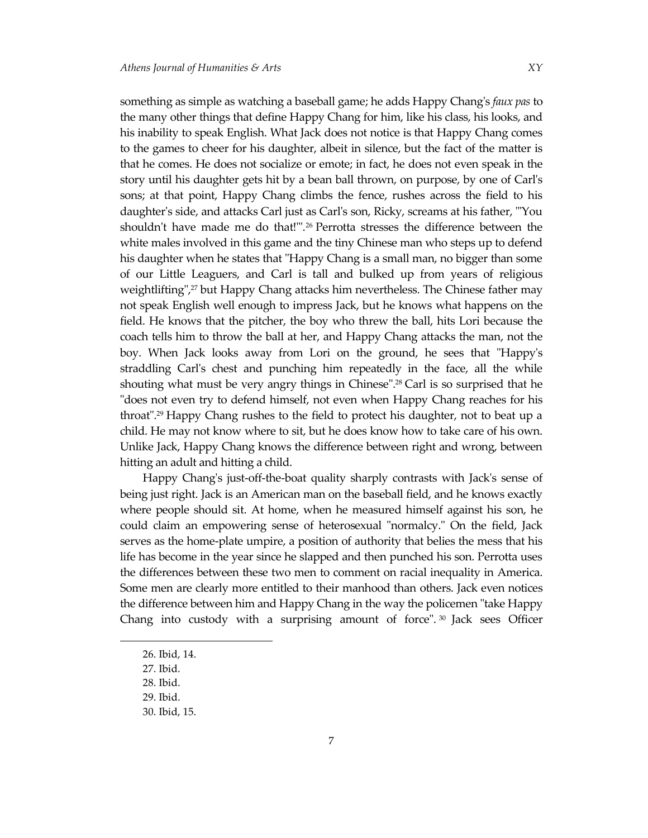something as simple as watching a baseball game; he adds Happy Chang's *faux pas* to the many other things that define Happy Chang for him, like his class, his looks, and his inability to speak English. What Jack does not notice is that Happy Chang comes to the games to cheer for his daughter, albeit in silence, but the fact of the matter is that he comes. He does not socialize or emote; in fact, he does not even speak in the story until his daughter gets hit by a bean ball thrown, on purpose, by one of Carl's sons; at that point, Happy Chang climbs the fence, rushes across the field to his daughter's side, and attacks Carl just as Carl's son, Ricky, screams at his father, "'You shouldn't have made me do that!'". <sup>26</sup> Perrotta stresses the difference between the white males involved in this game and the tiny Chinese man who steps up to defend his daughter when he states that "Happy Chang is a small man, no bigger than some of our Little Leaguers, and Carl is tall and bulked up from years of religious weightlifting", <sup>27</sup> but Happy Chang attacks him nevertheless. The Chinese father may not speak English well enough to impress Jack, but he knows what happens on the field. He knows that the pitcher, the boy who threw the ball, hits Lori because the coach tells him to throw the ball at her, and Happy Chang attacks the man, not the boy. When Jack looks away from Lori on the ground, he sees that "Happy's straddling Carl's chest and punching him repeatedly in the face, all the while shouting what must be very angry things in Chinese". <sup>28</sup> Carl is so surprised that he "does not even try to defend himself, not even when Happy Chang reaches for his throat". <sup>29</sup> Happy Chang rushes to the field to protect his daughter, not to beat up a child. He may not know where to sit, but he does know how to take care of his own. Unlike Jack, Happy Chang knows the difference between right and wrong, between hitting an adult and hitting a child.

Happy Chang's just-off-the-boat quality sharply contrasts with Jack's sense of being just right. Jack is an American man on the baseball field, and he knows exactly where people should sit. At home, when he measured himself against his son, he could claim an empowering sense of heterosexual "normalcy." On the field, Jack serves as the home-plate umpire, a position of authority that belies the mess that his life has become in the year since he slapped and then punched his son. Perrotta uses the differences between these two men to comment on racial inequality in America. Some men are clearly more entitled to their manhood than others. Jack even notices the difference between him and Happy Chang in the way the policemen "take Happy Chang into custody with a surprising amount of force". <sup>30</sup> Jack sees Officer

<sup>26.</sup> Ibid, 14.

<sup>27.</sup> Ibid.

<sup>28.</sup> Ibid.

<sup>29.</sup> Ibid.

<sup>30.</sup> Ibid, 15.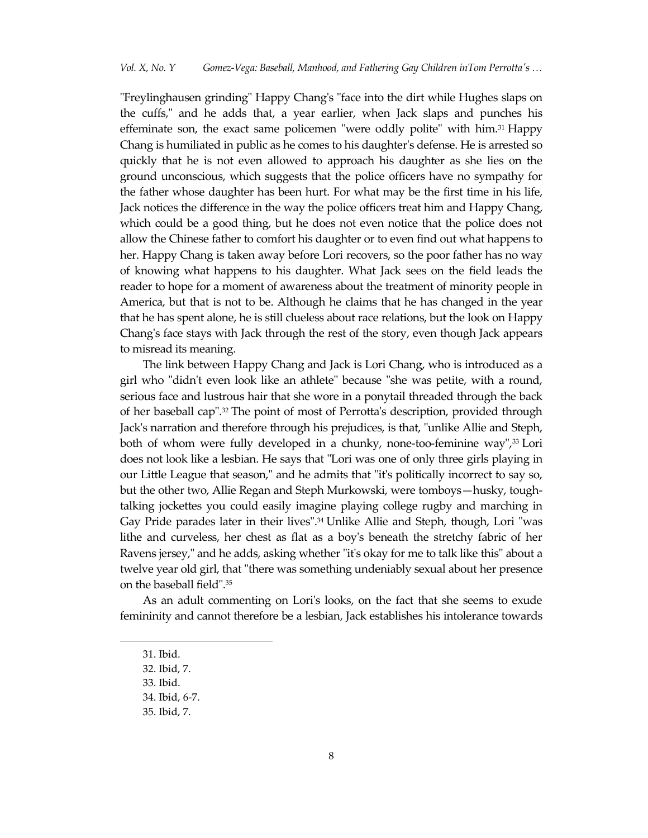"Freylinghausen grinding" Happy Chang's "face into the dirt while Hughes slaps on the cuffs," and he adds that, a year earlier, when Jack slaps and punches his effeminate son, the exact same policemen "were oddly polite" with him.<sup>31</sup> Happy Chang is humiliated in public as he comes to his daughter's defense. He is arrested so quickly that he is not even allowed to approach his daughter as she lies on the ground unconscious, which suggests that the police officers have no sympathy for the father whose daughter has been hurt. For what may be the first time in his life, Jack notices the difference in the way the police officers treat him and Happy Chang, which could be a good thing, but he does not even notice that the police does not allow the Chinese father to comfort his daughter or to even find out what happens to her. Happy Chang is taken away before Lori recovers, so the poor father has no way of knowing what happens to his daughter. What Jack sees on the field leads the reader to hope for a moment of awareness about the treatment of minority people in America, but that is not to be. Although he claims that he has changed in the year that he has spent alone, he is still clueless about race relations, but the look on Happy Chang's face stays with Jack through the rest of the story, even though Jack appears to misread its meaning.

The link between Happy Chang and Jack is Lori Chang, who is introduced as a girl who "didn't even look like an athlete" because "she was petite, with a round, serious face and lustrous hair that she wore in a ponytail threaded through the back of her baseball cap". <sup>32</sup> The point of most of Perrotta's description, provided through Jack's narration and therefore through his prejudices, is that, "unlike Allie and Steph, both of whom were fully developed in a chunky, none-too-feminine way", <sup>33</sup> Lori does not look like a lesbian. He says that "Lori was one of only three girls playing in our Little League that season," and he admits that "it's politically incorrect to say so, but the other two, Allie Regan and Steph Murkowski, were tomboys—husky, toughtalking jockettes you could easily imagine playing college rugby and marching in Gay Pride parades later in their lives". <sup>34</sup> Unlike Allie and Steph, though, Lori "was lithe and curveless, her chest as flat as a boy's beneath the stretchy fabric of her Ravens jersey," and he adds, asking whether "it's okay for me to talk like this" about a twelve year old girl, that "there was something undeniably sexual about her presence on the baseball field". 35

As an adult commenting on Lori's looks, on the fact that she seems to exude femininity and cannot therefore be a lesbian, Jack establishes his intolerance towards

<sup>31.</sup> Ibid.

<sup>32.</sup> Ibid, 7.

<sup>33.</sup> Ibid.

<sup>34.</sup> Ibid, 6-7.

<sup>35.</sup> Ibid, 7.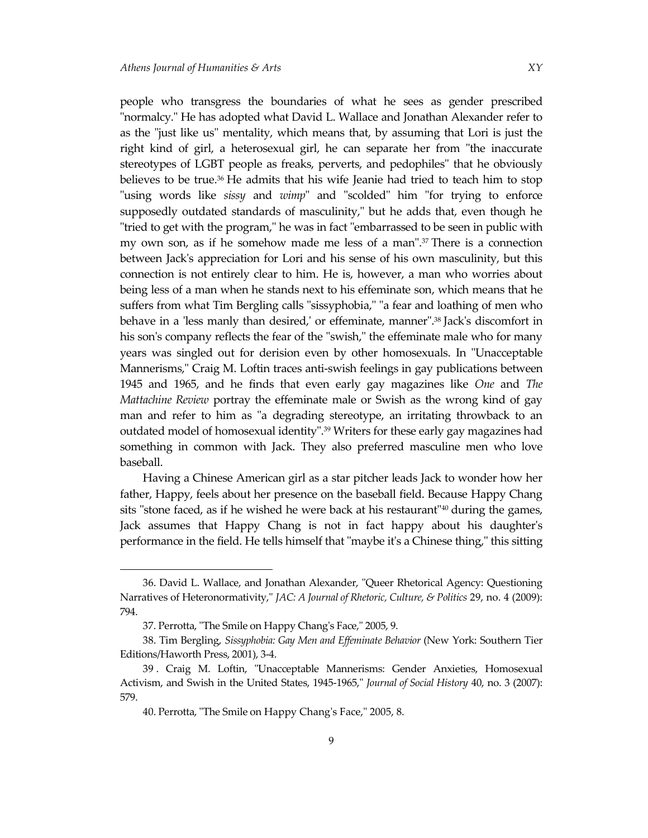people who transgress the boundaries of what he sees as gender prescribed "normalcy." He has adopted what David L. Wallace and Jonathan Alexander refer to as the "just like us" mentality, which means that, by assuming that Lori is just the right kind of girl, a heterosexual girl, he can separate her from "the inaccurate stereotypes of LGBT people as freaks, perverts, and pedophiles" that he obviously believes to be true.<sup>36</sup> He admits that his wife Jeanie had tried to teach him to stop "using words like *sissy* and *wimp*" and "scolded" him "for trying to enforce supposedly outdated standards of masculinity," but he adds that, even though he "tried to get with the program," he was in fact "embarrassed to be seen in public with my own son, as if he somehow made me less of a man". <sup>37</sup> There is a connection between Jack's appreciation for Lori and his sense of his own masculinity, but this connection is not entirely clear to him. He is, however, a man who worries about being less of a man when he stands next to his effeminate son, which means that he suffers from what Tim Bergling calls "sissyphobia," "a fear and loathing of men who behave in a 'less manly than desired,' or effeminate, manner". <sup>38</sup> Jack's discomfort in his son's company reflects the fear of the "swish," the effeminate male who for many years was singled out for derision even by other homosexuals. In "Unacceptable Mannerisms," Craig M. Loftin traces anti-swish feelings in gay publications between 1945 and 1965, and he finds that even early gay magazines like *One* and *The Mattachine Review* portray the effeminate male or Swish as the wrong kind of gay man and refer to him as "a degrading stereotype, an irritating throwback to an outdated model of homosexual identity". <sup>39</sup> Writers for these early gay magazines had something in common with Jack. They also preferred masculine men who love baseball.

Having a Chinese American girl as a star pitcher leads Jack to wonder how her father, Happy, feels about her presence on the baseball field. Because Happy Chang sits "stone faced, as if he wished he were back at his restaurant" $40$  during the games, Jack assumes that Happy Chang is not in fact happy about his daughter's performance in the field. He tells himself that "maybe it's a Chinese thing," this sitting

<sup>36.</sup> David L. Wallace, and Jonathan Alexander, "Queer Rhetorical Agency: Questioning Narratives of Heteronormativity," *JAC: A Journal of Rhetoric, Culture, & Politics* 29, no. 4 (2009): 794.

<sup>37.</sup> Perrotta, "The Smile on Happy Chang's Face," 2005, 9.

<sup>38.</sup> Tim Bergling, *Sissyphobia: Gay Men and Effeminate Behavior* (New York: Southern Tier Editions/Haworth Press, 2001), 3-4.

<sup>39</sup> . Craig M. Loftin, "Unacceptable Mannerisms: Gender Anxieties, Homosexual Activism, and Swish in the United States, 1945-1965," *Journal of Social History* 40, no. 3 (2007): 579.

<sup>40.</sup> Perrotta, "The Smile on Happy Chang's Face," 2005, 8.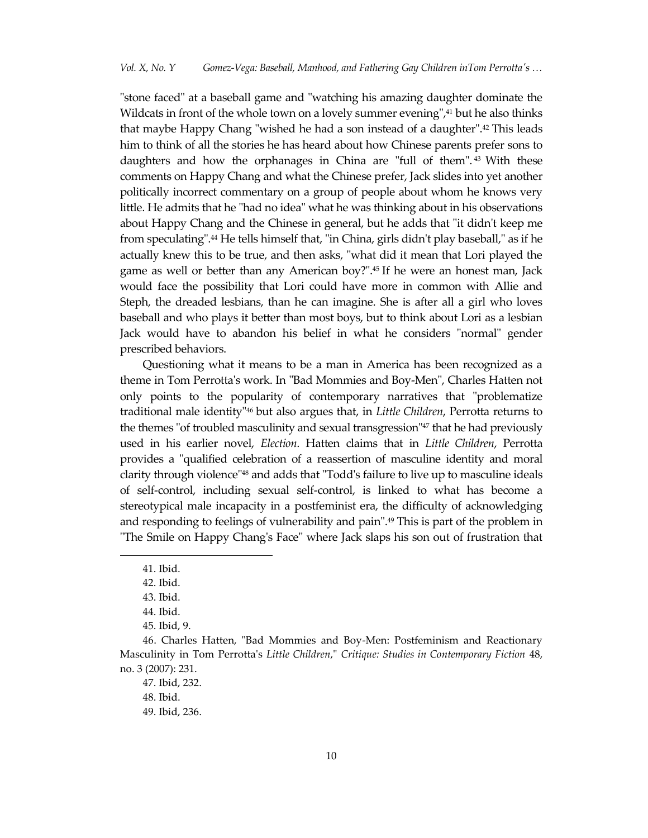"stone faced" at a baseball game and "watching his amazing daughter dominate the Wildcats in front of the whole town on a lovely summer evening", <sup>41</sup> but he also thinks that maybe Happy Chang "wished he had a son instead of a daughter". <sup>42</sup> This leads him to think of all the stories he has heard about how Chinese parents prefer sons to daughters and how the orphanages in China are "full of them". <sup>43</sup> With these comments on Happy Chang and what the Chinese prefer, Jack slides into yet another politically incorrect commentary on a group of people about whom he knows very little. He admits that he "had no idea" what he was thinking about in his observations about Happy Chang and the Chinese in general, but he adds that "it didn't keep me from speculating". <sup>44</sup> He tells himself that, "in China, girls didn't play baseball," as if he actually knew this to be true, and then asks, "what did it mean that Lori played the game as well or better than any American boy?". <sup>45</sup> If he were an honest man, Jack would face the possibility that Lori could have more in common with Allie and Steph, the dreaded lesbians, than he can imagine. She is after all a girl who loves baseball and who plays it better than most boys, but to think about Lori as a lesbian Jack would have to abandon his belief in what he considers "normal" gender prescribed behaviors.

Questioning what it means to be a man in America has been recognized as a theme in Tom Perrotta's work. In "Bad Mommies and Boy-Men", Charles Hatten not only points to the popularity of contemporary narratives that "problematize traditional male identity"<sup>46</sup> but also argues that, in *Little Children*, Perrotta returns to the themes "of troubled masculinity and sexual transgression"<sup>47</sup> that he had previously used in his earlier novel, *Election*. Hatten claims that in *Little Children*, Perrotta provides a "qualified celebration of a reassertion of masculine identity and moral clarity through violence"<sup>48</sup> and adds that "Todd's failure to live up to masculine ideals of self-control, including sexual self-control, is linked to what has become a stereotypical male incapacity in a postfeminist era, the difficulty of acknowledging and responding to feelings of vulnerability and pain". <sup>49</sup> This is part of the problem in "The Smile on Happy Chang's Face" where Jack slaps his son out of frustration that

<sup>41.</sup> Ibid.

<sup>42.</sup> Ibid.

<sup>43.</sup> Ibid.

<sup>44.</sup> Ibid.

<sup>45.</sup> Ibid, 9.

<sup>46.</sup> Charles Hatten, "Bad Mommies and Boy-Men: Postfeminism and Reactionary Masculinity in Tom Perrotta's *Little Children*," *Critique: Studies in Contemporary Fiction* 48, no. 3 (2007): 231.

<sup>47.</sup> Ibid, 232.

<sup>48.</sup> Ibid.

<sup>49.</sup> Ibid, 236.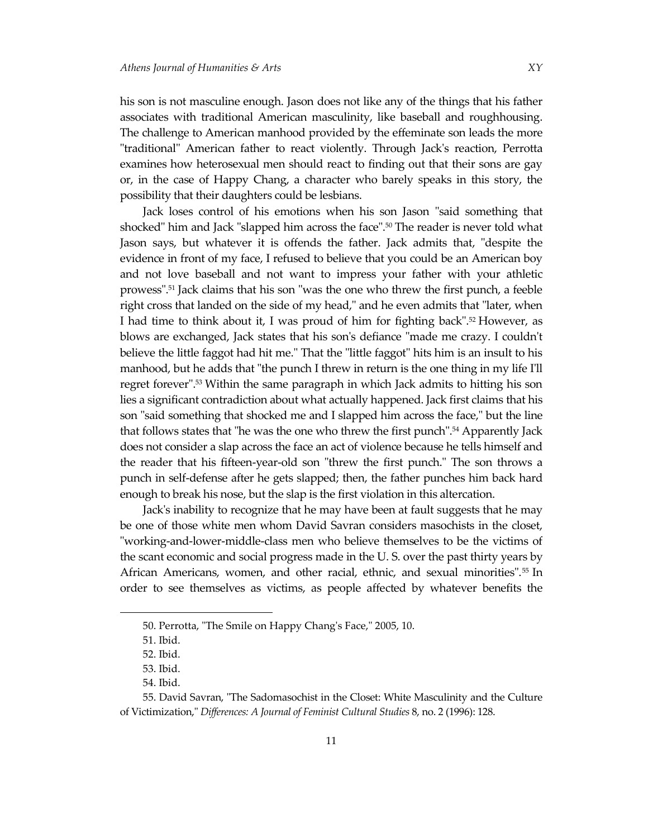his son is not masculine enough. Jason does not like any of the things that his father associates with traditional American masculinity, like baseball and roughhousing. The challenge to American manhood provided by the effeminate son leads the more "traditional" American father to react violently. Through Jack's reaction, Perrotta examines how heterosexual men should react to finding out that their sons are gay or, in the case of Happy Chang, a character who barely speaks in this story, the possibility that their daughters could be lesbians.

Jack loses control of his emotions when his son Jason "said something that shocked" him and Jack "slapped him across the face". <sup>50</sup> The reader is never told what Jason says, but whatever it is offends the father. Jack admits that, "despite the evidence in front of my face, I refused to believe that you could be an American boy and not love baseball and not want to impress your father with your athletic prowess". <sup>51</sup> Jack claims that his son "was the one who threw the first punch, a feeble right cross that landed on the side of my head," and he even admits that "later, when I had time to think about it, I was proud of him for fighting back". <sup>52</sup> However, as blows are exchanged, Jack states that his son's defiance "made me crazy. I couldn't believe the little faggot had hit me." That the "little faggot" hits him is an insult to his manhood, but he adds that "the punch I threw in return is the one thing in my life I'll regret forever". <sup>53</sup> Within the same paragraph in which Jack admits to hitting his son lies a significant contradiction about what actually happened. Jack first claims that his son "said something that shocked me and I slapped him across the face," but the line that follows states that "he was the one who threw the first punch". <sup>54</sup> Apparently Jack does not consider a slap across the face an act of violence because he tells himself and the reader that his fifteen-year-old son "threw the first punch." The son throws a punch in self-defense after he gets slapped; then, the father punches him back hard enough to break his nose, but the slap is the first violation in this altercation.

Jack's inability to recognize that he may have been at fault suggests that he may be one of those white men whom David Savran considers masochists in the closet, "working-and-lower-middle-class men who believe themselves to be the victims of the scant economic and social progress made in the U. S. over the past thirty years by African Americans, women, and other racial, ethnic, and sexual minorities". <sup>55</sup> In order to see themselves as victims, as people affected by whatever benefits the

<sup>50.</sup> Perrotta, "The Smile on Happy Chang's Face," 2005, 10.

<sup>51.</sup> Ibid.

<sup>52.</sup> Ibid.

<sup>53.</sup> Ibid.

<sup>54.</sup> Ibid.

<sup>55.</sup> David Savran, "The Sadomasochist in the Closet: White Masculinity and the Culture of Victimization," *Differences: A Journal of Feminist Cultural Studies* 8, no. 2 (1996): 128.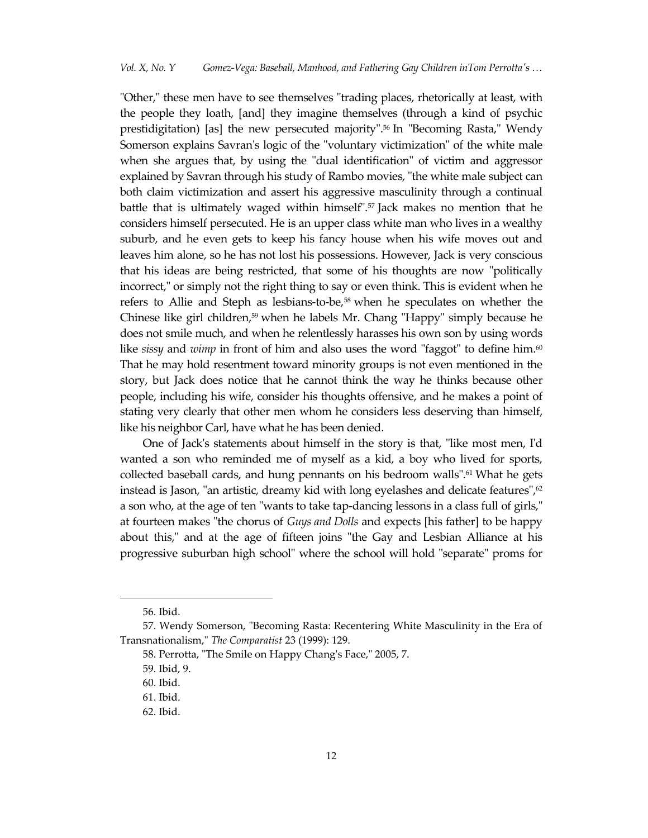"Other," these men have to see themselves "trading places, rhetorically at least, with the people they loath, [and] they imagine themselves (through a kind of psychic prestidigitation) [as] the new persecuted majority". <sup>56</sup> In "Becoming Rasta," Wendy Somerson explains Savran's logic of the "voluntary victimization" of the white male when she argues that, by using the "dual identification" of victim and aggressor explained by Savran through his study of Rambo movies, "the white male subject can both claim victimization and assert his aggressive masculinity through a continual battle that is ultimately waged within himself".<sup>57</sup> Jack makes no mention that he considers himself persecuted. He is an upper class white man who lives in a wealthy suburb, and he even gets to keep his fancy house when his wife moves out and leaves him alone, so he has not lost his possessions. However, Jack is very conscious that his ideas are being restricted, that some of his thoughts are now "politically incorrect," or simply not the right thing to say or even think. This is evident when he refers to Allie and Steph as lesbians-to-be, <sup>58</sup> when he speculates on whether the Chinese like girl children, <sup>59</sup> when he labels Mr. Chang "Happy" simply because he does not smile much, and when he relentlessly harasses his own son by using words like *sissy* and *wimp* in front of him and also uses the word "faggot" to define him. 60 That he may hold resentment toward minority groups is not even mentioned in the story, but Jack does notice that he cannot think the way he thinks because other people, including his wife, consider his thoughts offensive, and he makes a point of stating very clearly that other men whom he considers less deserving than himself, like his neighbor Carl, have what he has been denied.

One of Jack's statements about himself in the story is that, "like most men, I'd wanted a son who reminded me of myself as a kid, a boy who lived for sports, collected baseball cards, and hung pennants on his bedroom walls". <sup>61</sup> What he gets instead is Jason, "an artistic, dreamy kid with long eyelashes and delicate features", $^\mathrm{o2}$ a son who, at the age of ten "wants to take tap-dancing lessons in a class full of girls," at fourteen makes "the chorus of *Guys and Dolls* and expects [his father] to be happy about this," and at the age of fifteen joins "the Gay and Lesbian Alliance at his progressive suburban high school" where the school will hold "separate" proms for

<sup>56.</sup> Ibid.

<sup>57.</sup> Wendy Somerson, "Becoming Rasta: Recentering White Masculinity in the Era of Transnationalism," *The Comparatist* 23 (1999): 129.

<sup>58.</sup> Perrotta, "The Smile on Happy Chang's Face," 2005, 7.

<sup>59.</sup> Ibid, 9.

<sup>60.</sup> Ibid.

<sup>61.</sup> Ibid.

<sup>62.</sup> Ibid.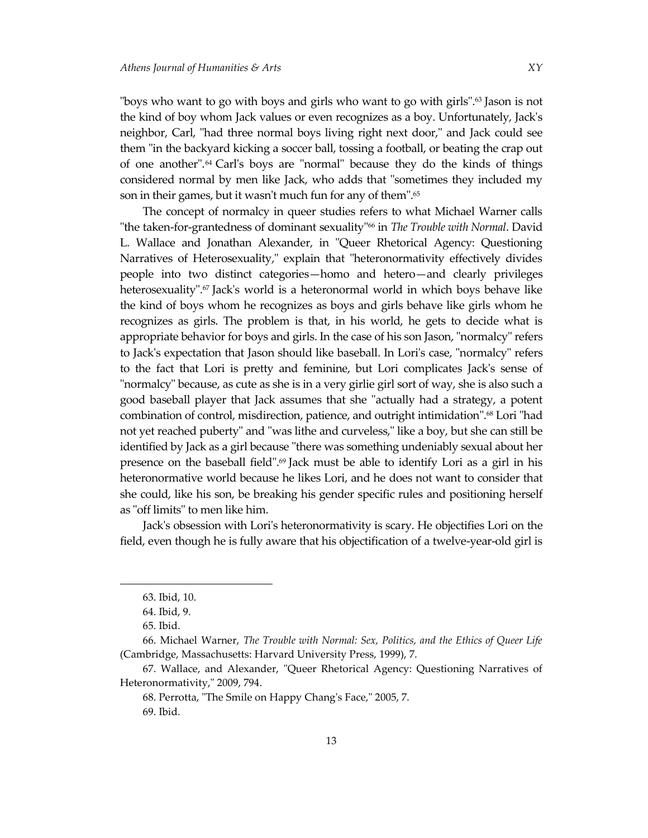"boys who want to go with boys and girls who want to go with girls". <sup>63</sup> Jason is not the kind of boy whom Jack values or even recognizes as a boy. Unfortunately, Jack's neighbor, Carl, "had three normal boys living right next door," and Jack could see them "in the backyard kicking a soccer ball, tossing a football, or beating the crap out of one another". <sup>64</sup> Carl's boys are "normal" because they do the kinds of things considered normal by men like Jack, who adds that "sometimes they included my son in their games, but it wasn't much fun for any of them". 65

The concept of normalcy in queer studies refers to what Michael Warner calls "the taken-for-grantedness of dominant sexuality"<sup>66</sup> in *The Trouble with Normal*. David L. Wallace and Jonathan Alexander, in "Queer Rhetorical Agency: Questioning Narratives of Heterosexuality," explain that "heteronormativity effectively divides people into two distinct categories—homo and hetero—and clearly privileges heterosexuality".<sup>67</sup> Jack's world is a heteronormal world in which boys behave like the kind of boys whom he recognizes as boys and girls behave like girls whom he recognizes as girls. The problem is that, in his world, he gets to decide what is appropriate behavior for boys and girls. In the case of his son Jason, "normalcy" refers to Jack's expectation that Jason should like baseball. In Lori's case, "normalcy" refers to the fact that Lori is pretty and feminine, but Lori complicates Jack's sense of "normalcy" because, as cute as she is in a very girlie girl sort of way, she is also such a good baseball player that Jack assumes that she "actually had a strategy, a potent combination of control, misdirection, patience, and outright intimidation". <sup>68</sup> Lori "had not yet reached puberty" and "was lithe and curveless," like a boy, but she can still be identified by Jack as a girl because "there was something undeniably sexual about her presence on the baseball field". <sup>69</sup> Jack must be able to identify Lori as a girl in his heteronormative world because he likes Lori, and he does not want to consider that she could, like his son, be breaking his gender specific rules and positioning herself as "off limits" to men like him.

Jack's obsession with Lori's heteronormativity is scary. He objectifies Lori on the field, even though he is fully aware that his objectification of a twelve-year-old girl is

<sup>63.</sup> Ibid, 10.

<sup>64.</sup> Ibid, 9.

<sup>65.</sup> Ibid.

<sup>66.</sup> Michael Warner, *The Trouble with Normal: Sex, Politics, and the Ethics of Queer Life* (Cambridge, Massachusetts: Harvard University Press, 1999), 7.

<sup>67.</sup> Wallace, and Alexander, "Queer Rhetorical Agency: Questioning Narratives of Heteronormativity," 2009, 794.

<sup>68.</sup> Perrotta, "The Smile on Happy Chang's Face," 2005, 7. 69. Ibid.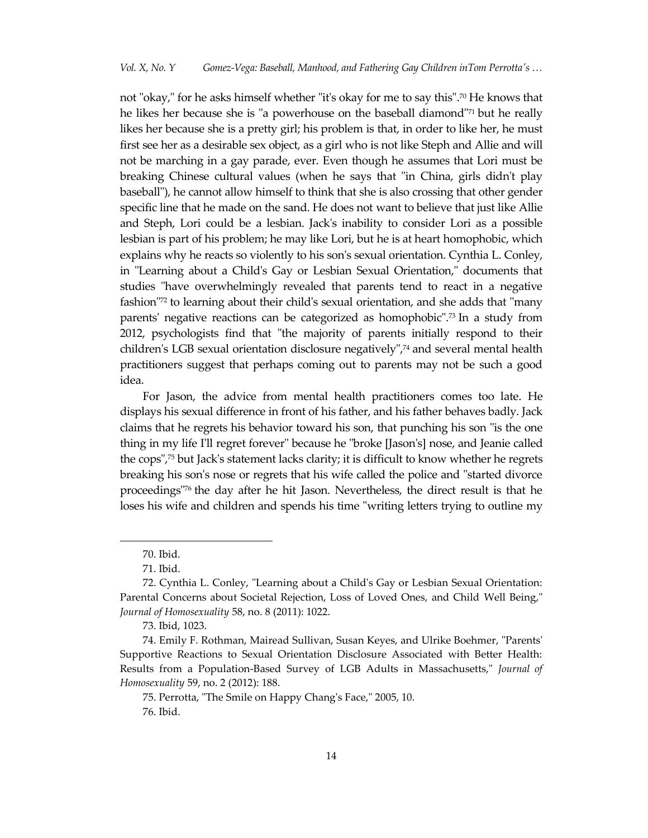not "okay," for he asks himself whether "it's okay for me to say this". <sup>70</sup> He knows that he likes her because she is "a powerhouse on the baseball diamond"<sup>71</sup> but he really likes her because she is a pretty girl; his problem is that, in order to like her, he must first see her as a desirable sex object, as a girl who is not like Steph and Allie and will not be marching in a gay parade, ever. Even though he assumes that Lori must be breaking Chinese cultural values (when he says that "in China, girls didn't play baseball"), he cannot allow himself to think that she is also crossing that other gender specific line that he made on the sand. He does not want to believe that just like Allie and Steph, Lori could be a lesbian. Jack's inability to consider Lori as a possible lesbian is part of his problem; he may like Lori, but he is at heart homophobic, which explains why he reacts so violently to his son's sexual orientation. Cynthia L. Conley, in "Learning about a Child's Gay or Lesbian Sexual Orientation," documents that studies "have overwhelmingly revealed that parents tend to react in a negative fashion"72 to learning about their child's sexual orientation, and she adds that "many parents' negative reactions can be categorized as homophobic". <sup>73</sup> In a study from 2012, psychologists find that "the majority of parents initially respond to their children's LGB sexual orientation disclosure negatively",<sup>74</sup> and several mental health practitioners suggest that perhaps coming out to parents may not be such a good idea.

For Jason, the advice from mental health practitioners comes too late. He displays his sexual difference in front of his father, and his father behaves badly. Jack claims that he regrets his behavior toward his son, that punching his son "is the one thing in my life I'll regret forever" because he "broke [Jason's] nose, and Jeanie called the cops", <sup>75</sup> but Jack's statement lacks clarity; it is difficult to know whether he regrets breaking his son's nose or regrets that his wife called the police and "started divorce proceedings"<sup>76</sup> the day after he hit Jason. Nevertheless, the direct result is that he loses his wife and children and spends his time "writing letters trying to outline my

<sup>70.</sup> Ibid.

<sup>71.</sup> Ibid.

<sup>72.</sup> Cynthia L. Conley, "Learning about a Child's Gay or Lesbian Sexual Orientation: Parental Concerns about Societal Rejection, Loss of Loved Ones, and Child Well Being," *Journal of Homosexuality* 58, no. 8 (2011): 1022.

<sup>73.</sup> Ibid, 1023.

<sup>74.</sup> Emily F. Rothman, Mairead Sullivan, Susan Keyes, and Ulrike Boehmer, "Parents' Supportive Reactions to Sexual Orientation Disclosure Associated with Better Health: Results from a Population-Based Survey of LGB Adults in Massachusetts," *Journal of Homosexuality* 59, no. 2 (2012): 188.

<sup>75.</sup> Perrotta, "The Smile on Happy Chang's Face," 2005, 10. 76. Ibid.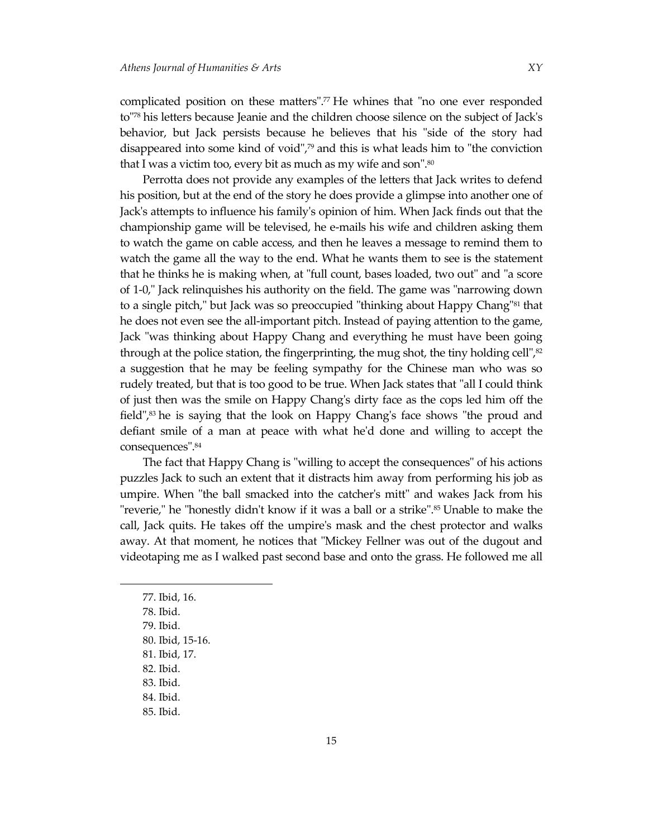complicated position on these matters". <sup>77</sup> He whines that "no one ever responded to" <sup>78</sup> his letters because Jeanie and the children choose silence on the subject of Jack's behavior, but Jack persists because he believes that his "side of the story had disappeared into some kind of void", <sup>79</sup> and this is what leads him to "the conviction that I was a victim too, every bit as much as my wife and son". 80

Perrotta does not provide any examples of the letters that Jack writes to defend his position, but at the end of the story he does provide a glimpse into another one of Jack's attempts to influence his family's opinion of him. When Jack finds out that the championship game will be televised, he e-mails his wife and children asking them to watch the game on cable access, and then he leaves a message to remind them to watch the game all the way to the end. What he wants them to see is the statement that he thinks he is making when, at "full count, bases loaded, two out" and "a score of 1-0," Jack relinquishes his authority on the field. The game was "narrowing down to a single pitch," but Jack was so preoccupied "thinking about Happy Chang"<sup>81</sup> that he does not even see the all-important pitch. Instead of paying attention to the game, Jack "was thinking about Happy Chang and everything he must have been going through at the police station, the fingerprinting, the mug shot, the tiny holding cell", 82 a suggestion that he may be feeling sympathy for the Chinese man who was so rudely treated, but that is too good to be true. When Jack states that "all I could think of just then was the smile on Happy Chang's dirty face as the cops led him off the field", <sup>83</sup> he is saying that the look on Happy Chang's face shows "the proud and defiant smile of a man at peace with what he'd done and willing to accept the consequences". 84

The fact that Happy Chang is "willing to accept the consequences" of his actions puzzles Jack to such an extent that it distracts him away from performing his job as umpire. When "the ball smacked into the catcher's mitt" and wakes Jack from his "reverie," he "honestly didn't know if it was a ball or a strike". <sup>85</sup> Unable to make the call, Jack quits. He takes off the umpire's mask and the chest protector and walks away. At that moment, he notices that "Mickey Fellner was out of the dugout and videotaping me as I walked past second base and onto the grass. He followed me all

- 82. Ibid.
- 83. Ibid.
- 84. Ibid.
- 85. Ibid.

<sup>77.</sup> Ibid, 16.

<sup>78.</sup> Ibid.

<sup>79.</sup> Ibid.

<sup>80.</sup> Ibid, 15-16.

<sup>81.</sup> Ibid, 17.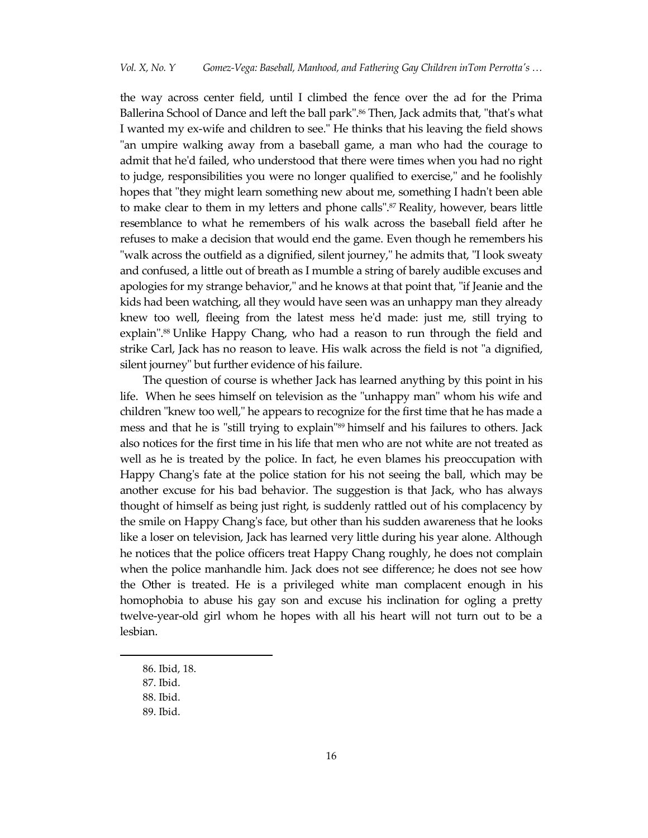the way across center field, until I climbed the fence over the ad for the Prima Ballerina School of Dance and left the ball park". <sup>86</sup> Then, Jack admits that, "that's what I wanted my ex-wife and children to see." He thinks that his leaving the field shows "an umpire walking away from a baseball game, a man who had the courage to admit that he'd failed, who understood that there were times when you had no right to judge, responsibilities you were no longer qualified to exercise," and he foolishly hopes that "they might learn something new about me, something I hadn't been able to make clear to them in my letters and phone calls".<sup>87</sup> Reality, however, bears little resemblance to what he remembers of his walk across the baseball field after he refuses to make a decision that would end the game. Even though he remembers his "walk across the outfield as a dignified, silent journey," he admits that, "I look sweaty and confused, a little out of breath as I mumble a string of barely audible excuses and apologies for my strange behavior," and he knows at that point that, "if Jeanie and the kids had been watching, all they would have seen was an unhappy man they already knew too well, fleeing from the latest mess he'd made: just me, still trying to explain". <sup>88</sup> Unlike Happy Chang, who had a reason to run through the field and strike Carl, Jack has no reason to leave. His walk across the field is not "a dignified, silent journey" but further evidence of his failure.

The question of course is whether Jack has learned anything by this point in his life. When he sees himself on television as the "unhappy man" whom his wife and children "knew too well," he appears to recognize for the first time that he has made a mess and that he is "still trying to explain"<sup>89</sup> himself and his failures to others. Jack also notices for the first time in his life that men who are not white are not treated as well as he is treated by the police. In fact, he even blames his preoccupation with Happy Chang's fate at the police station for his not seeing the ball, which may be another excuse for his bad behavior. The suggestion is that Jack, who has always thought of himself as being just right, is suddenly rattled out of his complacency by the smile on Happy Chang's face, but other than his sudden awareness that he looks like a loser on television, Jack has learned very little during his year alone. Although he notices that the police officers treat Happy Chang roughly, he does not complain when the police manhandle him. Jack does not see difference; he does not see how the Other is treated. He is a privileged white man complacent enough in his homophobia to abuse his gay son and excuse his inclination for ogling a pretty twelve-year-old girl whom he hopes with all his heart will not turn out to be a lesbian.

<sup>86.</sup> Ibid, 18.

<sup>87.</sup> Ibid.

<sup>88.</sup> Ibid.

<sup>89.</sup> Ibid.